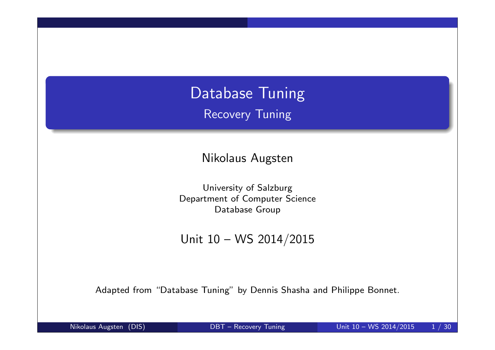# Database Tuning Recovery Tuning

Nikolaus Augsten

University of Salzburg Department of Computer Science Database Group

Unit 10 – WS 2014/2015

Adapted from "Database Tuning" by Dennis Shasha and Philippe Bonnet.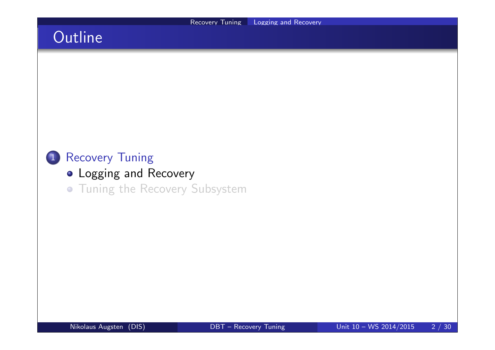# **Outline**



- **.** Logging and Recovery
- **.** Tuning the Recovery Subsystem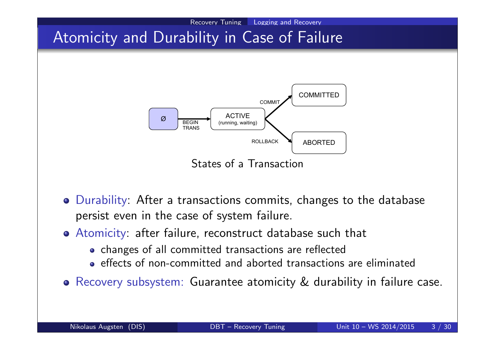

- Durability: After a transactions commits, changes to the database persist even in the case of system failure.
- Atomicity: after failure, reconstruct database such that
	- changes of all committed transactions are reflected
	- effects of non-committed and aborted transactions are eliminated
- Recovery subsystem: Guarantee atomicity & durability in failure case.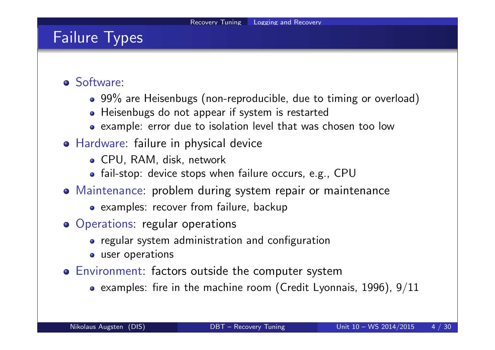## Failure Types

- Software:
	- 99% are Heisenbugs (non-reproducible, due to timing or overload)
	- Heisenbugs do not appear if system is restarted
	- example: error due to isolation level that was chosen too low
- Hardware: failure in physical device
	- CPU, RAM, disk, network
	- fail-stop: device stops when failure occurs, e.g., CPU
- Maintenance: problem during system repair or maintenance
	- examples: recover from failure, backup
- Operations: regular operations
	- regular system administration and configuration
	- user operations
- Environment: factors outside the computer system
	- examples: fire in the machine room (Credit Lyonnais, 1996),  $9/11$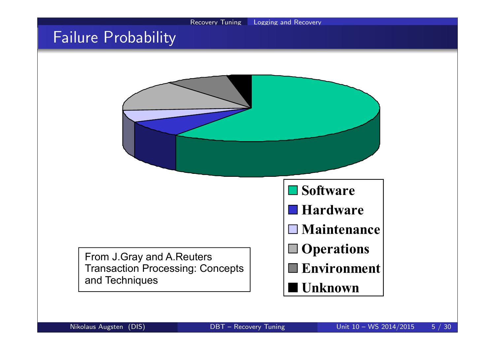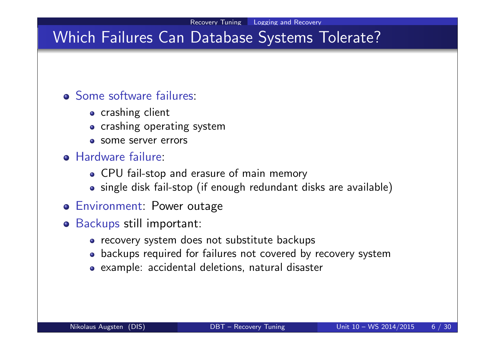# Which Failures Can Database Systems Tolerate?

#### Some software failures:

- **•** crashing client
- crashing operating system
- **o** some server errors
- **Hardware failure:** 
	- CPU fail-stop and erasure of main memory
	- single disk fail-stop (if enough redundant disks are available)
- Environment: Power outage
- Backups still important:
	- recovery system does not substitute backups
	- backups required for failures not covered by recovery system
	- example: accidental deletions, natural disaster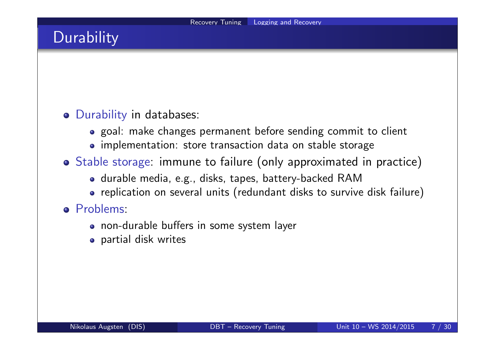# **Durability**

### Durability in databases:

- goal: make changes permanent before sending commit to client
- implementation: store transaction data on stable storage
- Stable storage: immune to failure (only approximated in practice)
	- durable media, e.g., disks, tapes, battery-backed RAM
	- replication on several units (redundant disks to survive disk failure)

#### o Problems:

- non-durable buffers in some system layer
- partial disk writes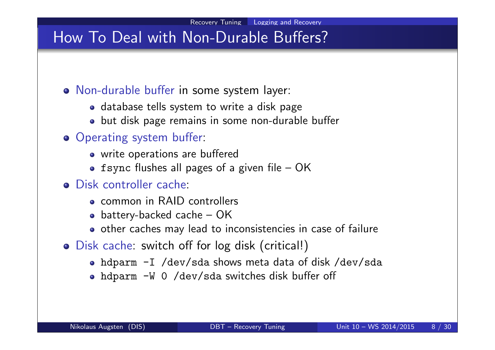## How To Deal with Non-Durable Buffers?

- Non-durable buffer in some system layer:
	- database tells system to write a disk page
	- but disk page remains in some non-durable buffer
- **Operating system buffer:** 
	- write operations are buffered
	- fsync flushes all pages of a given file  $-$  OK
- Disk controller cache:
	- common in RAID controllers
	- battery-backed cache  $-$  OK
	- o other caches may lead to inconsistencies in case of failure
- Disk cache: switch off for log disk (critical!)
	- hdparm -I /dev/sda shows meta data of disk /dev/sda
	- hdparm -W 0 /dev/sda switches disk buffer off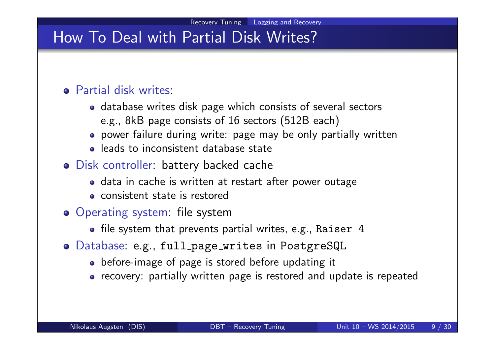## How To Deal with Partial Disk Writes?

#### Partial disk writes:

- database writes disk page which consists of several sectors e.g., 8kB page consists of 16 sectors (512B each)
- power failure during write: page may be only partially written
- leads to inconsistent database state
- Disk controller: battery backed cache
	- data in cache is written at restart after power outage
	- consistent state is restored
- Operating system: file system
	- file system that prevents partial writes, e.g., Raiser 4
- o Database: e.g., full\_page\_writes in PostgreSQL
	- o before-image of page is stored before updating it
	- recovery: partially written page is restored and update is repeated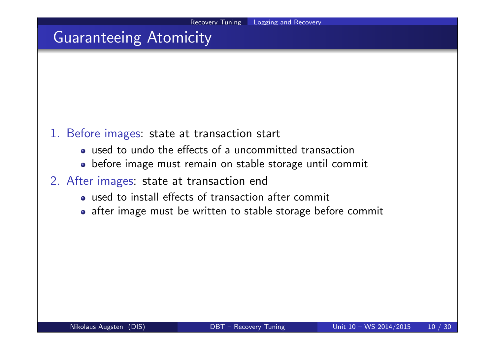# Guaranteeing Atomicity

- 1. Before images: state at transaction start
	- used to undo the effects of a uncommitted transaction
	- before image must remain on stable storage until commit
- 2. After images: state at transaction end
	- used to install effects of transaction after commit
	- after image must be written to stable storage before commit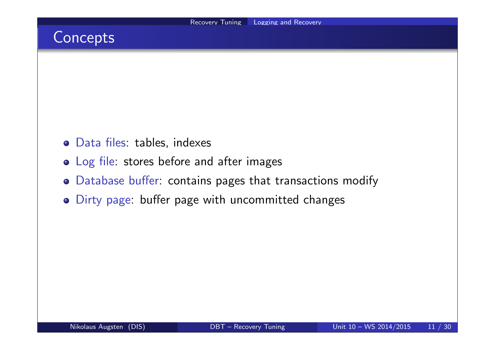## **Concepts**

- Data files: tables, indexes
- Log file: stores before and after images
- Database buffer: contains pages that transactions modify
- Dirty page: buffer page with uncommitted changes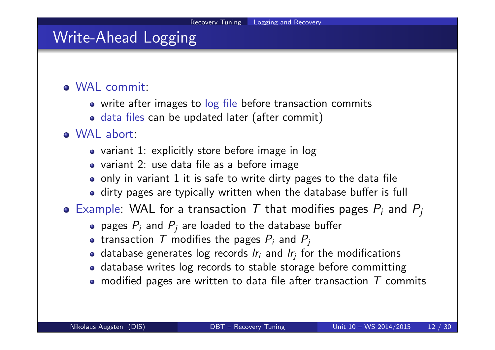# Write-Ahead Logging

### WAL commit:

- write after images to log file before transaction commits
- data files can be updated later (after commit)

### WAL abort:

- variant 1: explicitly store before image in log
- variant 2: use data file as a before image
- only in variant 1 it is safe to write dirty pages to the data file
- dirty pages are typically written when the database buffer is full
- Example: WAL for a transaction T that modifies pages  $P_i$  and  $P_j$ 
	- pages  $P_i$  and  $P_j$  are loaded to the database buffer
	- transaction  $\, {\cal T} \,$  modifies the pages  $P_i$  and  $P_j$
	- database generates log records  $\mathit{l}r_i$  and  $\mathit{l}r_j$  for the modifications
	- database writes log records to stable storage before committing
	- modified pages are written to data file after transaction  $T$  commits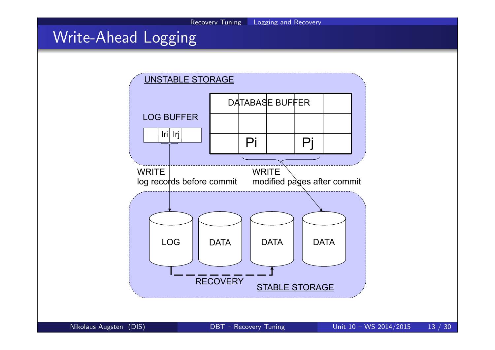# Write-Ahead Logging

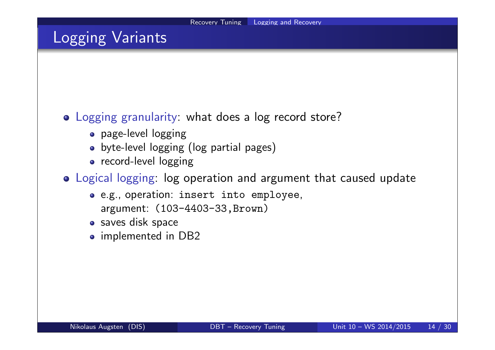## Logging Variants

#### Logging granularity: what does a log record store?

- page-level logging
- byte-level logging (log partial pages)
- record-level logging
- Logical logging: log operation and argument that caused update
	- e.g., operation: insert into employee, argument: (103-4403-33,Brown)
	- saves disk space
	- o implemented in DB2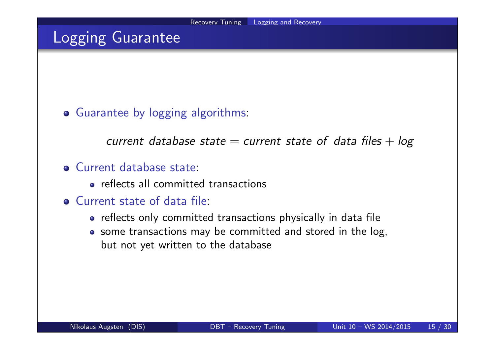## Logging Guarantee

#### Guarantee by logging algorithms:

current database state  $=$  current state of data files  $+$  log

#### Current database state:

- **e** reflects all committed transactions
- Current state of data file:
	- reflects only committed transactions physically in data file
	- some transactions may be committed and stored in the log, but not yet written to the database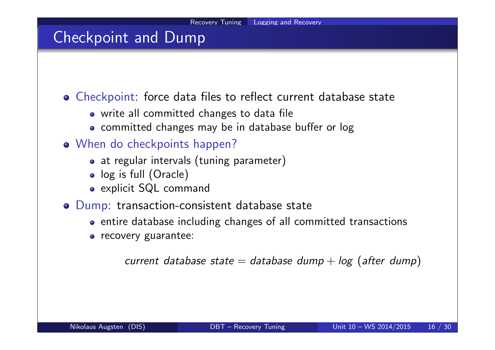## Checkpoint and Dump

Checkpoint: force data files to reflect current database state

- write all committed changes to data file
- committed changes may be in database buffer or log
- When do checkpoints happen?
	- at regular intervals (tuning parameter)
	- log is full (Oracle)
	- explicit SQL command
- Dump: transaction-consistent database state
	- entire database including changes of all committed transactions
	- **o** recovery guarantee:

current database state  $=$  database dump  $+$  log (after dump)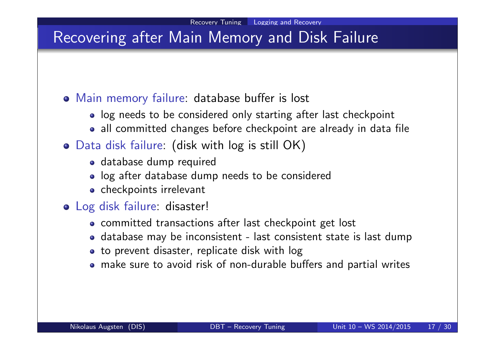# Recovering after Main Memory and Disk Failure

### Main memory failure: database buffer is lost

- log needs to be considered only starting after last checkpoint
- all committed changes before checkpoint are already in data file

### Data disk failure: (disk with log is still OK)

- database dump required
- log after database dump needs to be considered
- checkpoints irrelevant

### Log disk failure: disaster!

- committed transactions after last checkpoint get lost
- database may be inconsistent last consistent state is last dump
- to prevent disaster, replicate disk with log
- make sure to avoid risk of non-durable buffers and partial writes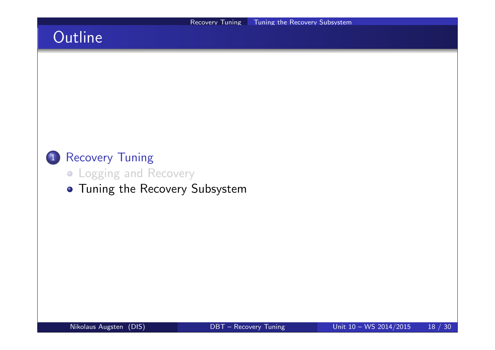# **Outline**

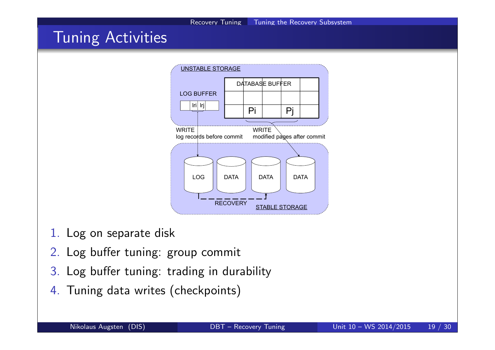## Tuning Activities



- 1. Log on separate disk
- 2. Log buffer tuning: group commit
- 3. Log buffer tuning: trading in durability
- 4. Tuning data writes (checkpoints)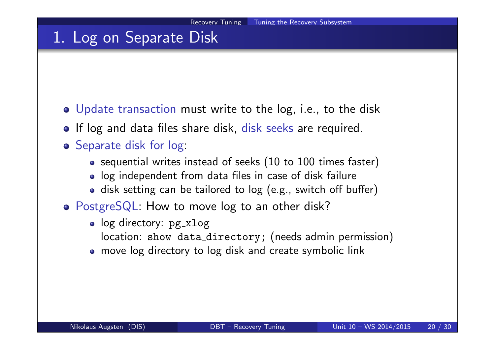### 1. Log on Separate Disk

- Update transaction must write to the log, i.e., to the disk
- If log and data files share disk, disk seeks are required.
- **o** Separate disk for log:
	- sequential writes instead of seeks (10 to 100 times faster)
	- log independent from data files in case of disk failure
	- disk setting can be tailored to log (e.g., switch off buffer)
- PostgreSQL: How to move log to an other disk?
	- log directory: pg\_xlog
		- location: show data\_directory; (needs admin permission)
	- move log directory to log disk and create symbolic link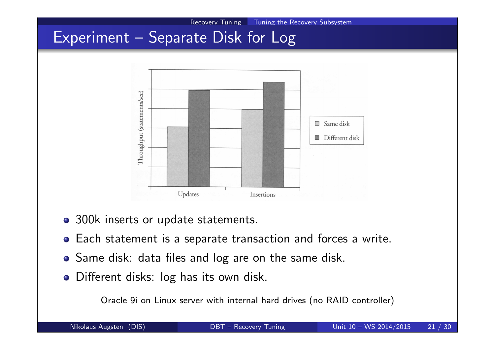

- 300k inserts or update statements.
- Each statement is a separate transaction and forces a write.
- Same disk: data files and log are on the same disk.
- Different disks: log has its own disk.

Oracle 9i on Linux server with internal hard drives (no RAID controller)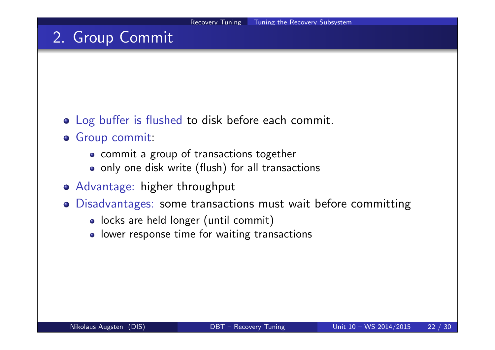# 2. Group Commit

- Log buffer is flushed to disk before each commit.
- Group commit:
	- commit a group of transactions together
	- only one disk write (flush) for all transactions
- Advantage: higher throughput
- Disadvantages: some transactions must wait before committing
	- locks are held longer (until commit)
	- lower response time for waiting transactions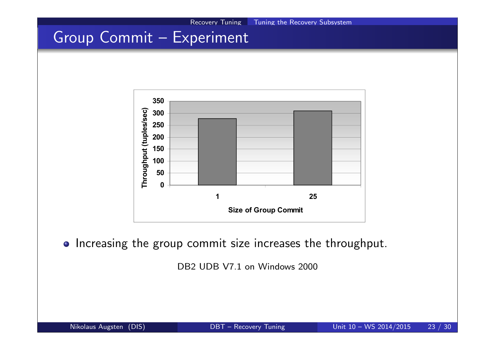# Group Commit – Experiment



• Increasing the group commit size increases the throughput.

DB<sub>2</sub> UDB V<sub>7.1</sub> on Windows 2000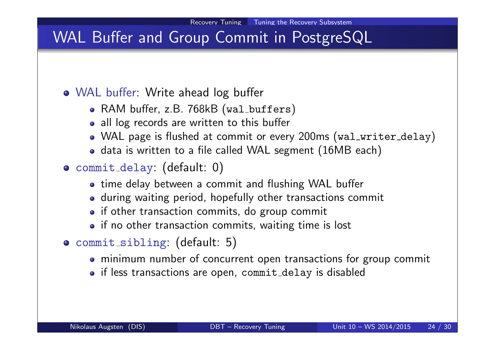# WAL Buffer and Group Commit in PostgreSQL

### WAL buffer: Write ahead log buffer

- RAM buffer, z.B. 768kB (wal\_buffers)
- all log records are written to this buffer
- WAL page is flushed at commit or every 200ms (wal\_writer\_delay)
- data is written to a file called WAL segment (16MB each)
- commit delay: (default: 0)
	- time delay between a commit and flushing WAL buffer
	- during waiting period, hopefully other transactions commit
	- if other transaction commits, do group commit
	- if no other transaction commits, waiting time is lost
- commit sibling: (default: 5)
	- minimum number of concurrent open transactions for group commit
	- if less transactions are open, commit delay is disabled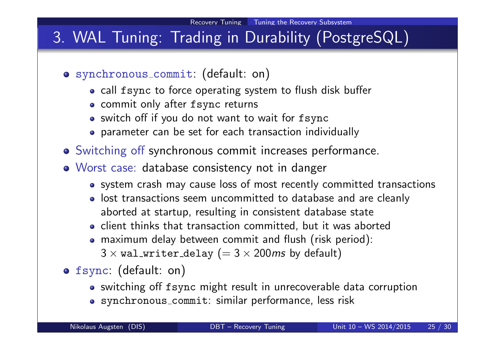# 3. WAL Tuning: Trading in Durability (PostgreSQL)

- synchronous commit: (default: on)
	- call fsync to force operating system to flush disk buffer
	- commit only after fsync returns
	- switch off if you do not want to wait for fsync
	- parameter can be set for each transaction individually
- Switching off synchronous commit increases performance.
- Worst case: database consistency not in danger
	- system crash may cause loss of most recently committed transactions
	- o lost transactions seem uncommitted to database and are cleanly aborted at startup, resulting in consistent database state
	- client thinks that transaction committed, but it was aborted
	- maximum delay between commit and flush (risk period):  $3 \times$  wal\_writer\_delay (=  $3 \times 200$  ms by default)
- fsync: (default: on)
	- switching off fsync might result in unrecoverable data corruption
	- synchronous commit: similar performance, less risk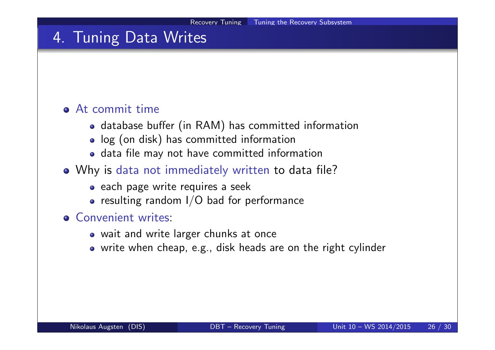## 4. Tuning Data Writes

#### At commit time

- database buffer (in RAM) has committed information
- log (on disk) has committed information
- data file may not have committed information
- Why is data not immediately written to data file?
	- each page write requires a seek
	- $\bullet$  resulting random I/O bad for performance
- **e** Convenient writes:
	- wait and write larger chunks at once
	- write when cheap, e.g., disk heads are on the right cylinder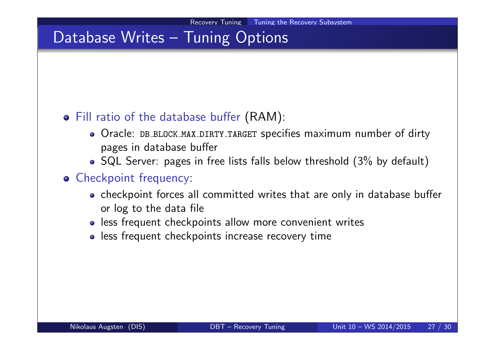## Database Writes – Tuning Options

#### Fill ratio of the database buffer (RAM):

- Oracle: DB BLOCK MAX DIRTY TARGET specifies maximum number of dirty pages in database buffer
- SQL Server: pages in free lists falls below threshold (3% by default)

#### **o** Checkpoint frequency:

- checkpoint forces all committed writes that are only in database buffer or log to the data file
- less frequent checkpoints allow more convenient writes
- less frequent checkpoints increase recovery time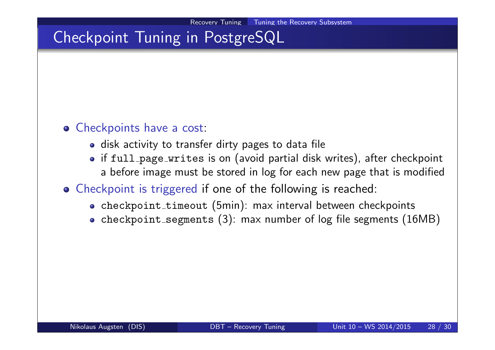# Checkpoint Tuning in PostgreSQL

#### **o** Checkpoints have a cost:

- disk activity to transfer dirty pages to data file
- if full page writes is on (avoid partial disk writes), after checkpoint a before image must be stored in log for each new page that is modified

### Checkpoint is triggered if one of the following is reached:

- checkpoint\_timeout (5min): max interval between checkpoints
- checkpoint segments (3): max number of log file segments (16MB)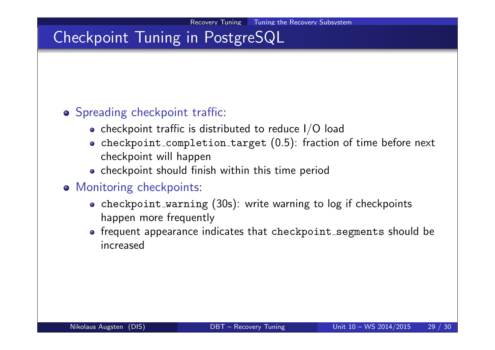# Checkpoint Tuning in PostgreSQL

### o Spreading checkpoint traffic:

- checkpoint traffic is distributed to reduce  $I/O$  load
- checkpoint completion target (0.5): fraction of time before next checkpoint will happen
- checkpoint should finish within this time period
- **o** Monitoring checkpoints:
	- checkpoint warning (30s): write warning to log if checkpoints happen more frequently
	- frequent appearance indicates that checkpoint segments should be increased